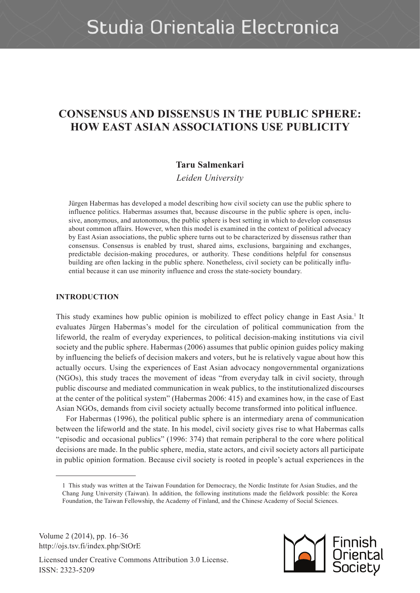# **CONSENSUS AND DISSENSUS IN THE PUBLIC SPHERE: HOW EAST ASIAN ASSOCIATIONS USE PUBLICITY**

# **Taru Salmenkari**

*Leiden University*

Jürgen Habermas has developed a model describing how civil society can use the public sphere to influence politics. Habermas assumes that, because discourse in the public sphere is open, inclusive, anonymous, and autonomous, the public sphere is best setting in which to develop consensus about common affairs. However, when this model is examined in the context of political advocacy by East Asian associations, the public sphere turns out to be characterized by dissensus rather than consensus. Consensus is enabled by trust, shared aims, exclusions, bargaining and exchanges, predictable decision-making procedures, or authority. These conditions helpful for consensus building are often lacking in the public sphere. Nonetheless, civil society can be politically influential because it can use minority influence and cross the state-society boundary.

# **INTRODUCTION**

This study examines how public opinion is mobilized to effect policy change in East Asia.<sup>1</sup> It evaluates Jürgen Habermas's model for the circulation of political communication from the lifeworld, the realm of everyday experiences, to political decision-making institutions via civil society and the public sphere. Habermas (2006) assumes that public opinion guides policy making by influencing the beliefs of decision makers and voters, but he is relatively vague about how this actually occurs. Using the experiences of East Asian advocacy nongovernmental organizations (NGOs), this study traces the movement of ideas "from everyday talk in civil society, through public discourse and mediated communication in weak publics, to the institutionalized discourses at the center of the political system" (Habermas 2006: 415) and examines how, in the case of East Asian NGOs, demands from civil society actually become transformed into political influence.

For Habermas (1996), the political public sphere is an intermediary arena of communication between the lifeworld and the state. In his model, civil society gives rise to what Habermas calls "episodic and occasional publics" (1996: 374) that remain peripheral to the core where political decisions are made. In the public sphere, media, state actors, and civil society actors all participate in public opinion formation. Because civil society is rooted in people's actual experiences in the

Volume 2 (2014), pp. 16–36 http://ojs.tsv.fi/index.php/StOrE



<sup>1</sup> This study was written at the Taiwan Foundation for Democracy, the Nordic Institute for Asian Studies, and the Chang Jung University (Taiwan). In addition, the following institutions made the fieldwork possible: the Korea Foundation, the Taiwan Fellowship, the Academy of Finland, and the Chinese Academy of Social Sciences.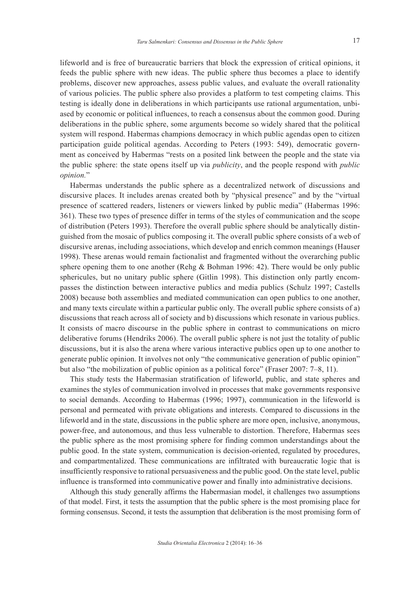lifeworld and is free of bureaucratic barriers that block the expression of critical opinions, it feeds the public sphere with new ideas. The public sphere thus becomes a place to identify problems, discover new approaches, assess public values, and evaluate the overall rationality of various policies. The public sphere also provides a platform to test competing claims. This testing is ideally done in deliberations in which participants use rational argumentation, unbiased by economic or political influences, to reach a consensus about the common good. During deliberations in the public sphere, some arguments become so widely shared that the political system will respond. Habermas champions democracy in which public agendas open to citizen participation guide political agendas. According to Peters (1993: 549), democratic government as conceived by Habermas "rests on a posited link between the people and the state via the public sphere: the state opens itself up via *publicity*, and the people respond with *public opinion.*"

Habermas understands the public sphere as a decentralized network of discussions and discursive places. It includes arenas created both by "physical presence" and by the "virtual presence of scattered readers, listeners or viewers linked by public media" (Habermas 1996: 361). These two types of presence differ in terms of the styles of communication and the scope of distribution (Peters 1993). Therefore the overall public sphere should be analytically distinguished from the mosaic of publics composing it. The overall public sphere consists of a web of discursive arenas, including associations, which develop and enrich common meanings (Hauser 1998). These arenas would remain factionalist and fragmented without the overarching public sphere opening them to one another (Rehg  $&$  Bohman 1996: 42). There would be only public sphericules, but no unitary public sphere (Gitlin 1998). This distinction only partly encompasses the distinction between interactive publics and media publics (Schulz 1997; Castells 2008) because both assemblies and mediated communication can open publics to one another, and many texts circulate within a particular public only. The overall public sphere consists of a) discussions that reach across all of society and b) discussions which resonate in various publics. It consists of macro discourse in the public sphere in contrast to communications on micro deliberative forums (Hendriks 2006). The overall public sphere is not just the totality of public discussions, but it is also the arena where various interactive publics open up to one another to generate public opinion. It involves not only "the communicative generation of public opinion" but also "the mobilization of public opinion as a political force" (Fraser 2007: 7–8, 11).

This study tests the Habermasian stratification of lifeworld, public, and state spheres and examines the styles of communication involved in processes that make governments responsive to social demands. According to Habermas (1996; 1997), communication in the lifeworld is personal and permeated with private obligations and interests. Compared to discussions in the lifeworld and in the state, discussions in the public sphere are more open, inclusive, anonymous, power-free, and autonomous, and thus less vulnerable to distortion. Therefore, Habermas sees the public sphere as the most promising sphere for finding common understandings about the public good. In the state system, communication is decision-oriented, regulated by procedures, and compartmentalized. These communications are infiltrated with bureaucratic logic that is insufficiently responsive to rational persuasiveness and the public good. On the state level, public influence is transformed into communicative power and finally into administrative decisions.

Although this study generally affirms the Habermasian model, it challenges two assumptions of that model. First, it tests the assumption that the public sphere is the most promising place for forming consensus. Second, it tests the assumption that deliberation is the most promising form of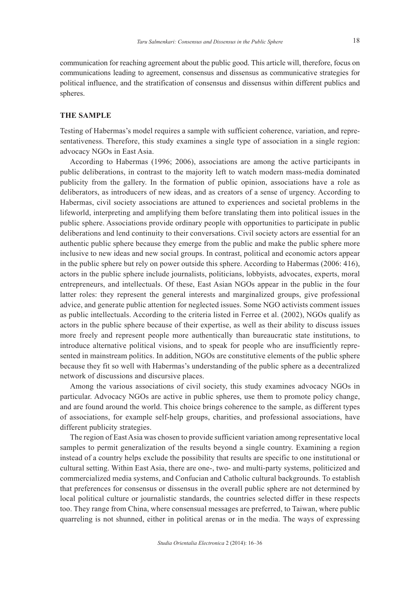communication for reaching agreement about the public good. This article will, therefore, focus on communications leading to agreement, consensus and dissensus as communicative strategies for political influence, and the stratification of consensus and dissensus within different publics and spheres.

#### **THE SAMPLE**

Testing of Habermas's model requires a sample with sufficient coherence, variation, and representativeness. Therefore, this study examines a single type of association in a single region: advocacy NGOs in East Asia.

According to Habermas (1996; 2006), associations are among the active participants in public deliberations, in contrast to the majority left to watch modern mass-media dominated publicity from the gallery. In the formation of public opinion, associations have a role as deliberators, as introducers of new ideas, and as creators of a sense of urgency. According to Habermas, civil society associations are attuned to experiences and societal problems in the lifeworld, interpreting and amplifying them before translating them into political issues in the public sphere. Associations provide ordinary people with opportunities to participate in public deliberations and lend continuity to their conversations. Civil society actors are essential for an authentic public sphere because they emerge from the public and make the public sphere more inclusive to new ideas and new social groups. In contrast, political and economic actors appear in the public sphere but rely on power outside this sphere. According to Habermas (2006: 416), actors in the public sphere include journalists, politicians, lobbyists, advocates, experts, moral entrepreneurs, and intellectuals. Of these, East Asian NGOs appear in the public in the four latter roles: they represent the general interests and marginalized groups, give professional advice, and generate public attention for neglected issues. Some NGO activists comment issues as public intellectuals. According to the criteria listed in Ferree et al. (2002), NGOs qualify as actors in the public sphere because of their expertise, as well as their ability to discuss issues more freely and represent people more authentically than bureaucratic state institutions, to introduce alternative political visions, and to speak for people who are insufficiently represented in mainstream politics. In addition, NGOs are constitutive elements of the public sphere because they fit so well with Habermas's understanding of the public sphere as a decentralized network of discussions and discursive places.

Among the various associations of civil society, this study examines advocacy NGOs in particular. Advocacy NGOs are active in public spheres, use them to promote policy change, and are found around the world. This choice brings coherence to the sample, as different types of associations, for example self-help groups, charities, and professional associations, have different publicity strategies.

The region of East Asia was chosen to provide sufficient variation among representative local samples to permit generalization of the results beyond a single country. Examining a region instead of a country helps exclude the possibility that results are specific to one institutional or cultural setting. Within East Asia, there are one-, two- and multi-party systems, politicized and commercialized media systems, and Confucian and Catholic cultural backgrounds. To establish that preferences for consensus or dissensus in the overall public sphere are not determined by local political culture or journalistic standards, the countries selected differ in these respects too. They range from China, where consensual messages are preferred, to Taiwan, where public quarreling is not shunned, either in political arenas or in the media. The ways of expressing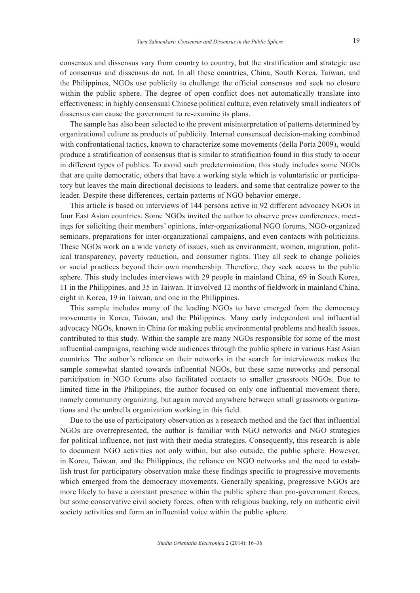consensus and dissensus vary from country to country, but the stratification and strategic use of consensus and dissensus do not. In all these countries, China, South Korea, Taiwan, and the Philippines, NGOs use publicity to challenge the official consensus and seek no closure within the public sphere. The degree of open conflict does not automatically translate into effectiveness: in highly consensual Chinese political culture, even relatively small indicators of dissensus can cause the government to re-examine its plans.

The sample has also been selected to the prevent misinterpretation of patterns determined by organizational culture as products of publicity. Internal consensual decision-making combined with confrontational tactics, known to characterize some movements (della Porta 2009), would produce a stratification of consensus that is similar to stratification found in this study to occur in different types of publics. To avoid such predetermination, this study includes some NGOs that are quite democratic, others that have a working style which is voluntaristic or participatory but leaves the main directional decisions to leaders, and some that centralize power to the leader. Despite these differences, certain patterns of NGO behavior emerge.

This article is based on interviews of 144 persons active in 92 different advocacy NGOs in four East Asian countries. Some NGOs invited the author to observe press conferences, meetings for soliciting their members' opinions, inter-organizational NGO forums, NGO-organized seminars, preparations for inter-organizational campaigns, and even contacts with politicians. These NGOs work on a wide variety of issues, such as environment, women, migration, political transparency, poverty reduction, and consumer rights. They all seek to change policies or social practices beyond their own membership. Therefore, they seek access to the public sphere. This study includes interviews with 29 people in mainland China, 69 in South Korea, 11 in the Philippines, and 35 in Taiwan. It involved 12 months of fieldwork in mainland China, eight in Korea, 19 in Taiwan, and one in the Philippines.

This sample includes many of the leading NGOs to have emerged from the democracy movements in Korea, Taiwan, and the Philippines. Many early independent and influential advocacy NGOs, known in China for making public environmental problems and health issues, contributed to this study. Within the sample are many NGOs responsible for some of the most influential campaigns, reaching wide audiences through the public sphere in various East Asian countries. The author's reliance on their networks in the search for interviewees makes the sample somewhat slanted towards influential NGOs, but these same networks and personal participation in NGO forums also facilitated contacts to smaller grassroots NGOs. Due to limited time in the Philippines, the author focused on only one influential movement there, namely community organizing, but again moved anywhere between small grassroots organizations and the umbrella organization working in this field.

Due to the use of participatory observation as a research method and the fact that influential NGOs are overrepresented, the author is familiar with NGO networks and NGO strategies for political influence, not just with their media strategies. Consequently, this research is able to document NGO activities not only within, but also outside, the public sphere. However, in Korea, Taiwan, and the Philippines, the reliance on NGO networks and the need to establish trust for participatory observation make these findings specific to progressive movements which emerged from the democracy movements. Generally speaking, progressive NGOs are more likely to have a constant presence within the public sphere than pro-government forces, but some conservative civil society forces, often with religious backing, rely on authentic civil society activities and form an influential voice within the public sphere.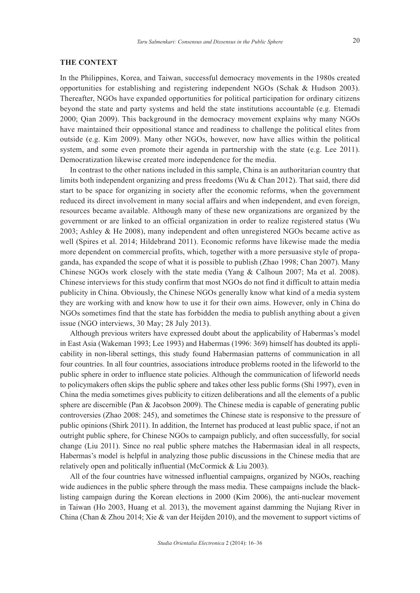#### **THE CONTEXT**

In the Philippines, Korea, and Taiwan, successful democracy movements in the 1980s created opportunities for establishing and registering independent NGOs (Schak & Hudson 2003). Thereafter, NGOs have expanded opportunities for political participation for ordinary citizens beyond the state and party systems and held the state institutions accountable (e.g. Etemadi 2000; Qian 2009). This background in the democracy movement explains why many NGOs have maintained their oppositional stance and readiness to challenge the political elites from outside (e.g. Kim 2009). Many other NGOs, however, now have allies within the political system, and some even promote their agenda in partnership with the state (e.g. Lee 2011). Democratization likewise created more independence for the media.

In contrast to the other nations included in this sample, China is an authoritarian country that limits both independent organizing and press freedoms (Wu & Chan 2012). That said, there did start to be space for organizing in society after the economic reforms, when the government reduced its direct involvement in many social affairs and when independent, and even foreign, resources became available. Although many of these new organizations are organized by the government or are linked to an official organization in order to realize registered status (Wu 2003; Ashley & He 2008), many independent and often unregistered NGOs became active as well (Spires et al. 2014; Hildebrand 2011). Economic reforms have likewise made the media more dependent on commercial profits, which, together with a more persuasive style of propaganda, has expanded the scope of what it is possible to publish (Zhao 1998; Chan 2007). Many Chinese NGOs work closely with the state media (Yang & Calhoun 2007; Ma et al. 2008). Chinese interviews for this study confirm that most NGOs do not find it difficult to attain media publicity in China. Obviously, the Chinese NGOs generally know what kind of a media system they are working with and know how to use it for their own aims. However, only in China do NGOs sometimes find that the state has forbidden the media to publish anything about a given issue (NGO interviews, 30 May; 28 July 2013).

Although previous writers have expressed doubt about the applicability of Habermas's model in East Asia (Wakeman 1993; Lee 1993) and Habermas (1996: 369) himself has doubted its applicability in non-liberal settings, this study found Habermasian patterns of communication in all four countries. In all four countries, associations introduce problems rooted in the lifeworld to the public sphere in order to influence state policies. Although the communication of lifeworld needs to policymakers often skips the public sphere and takes other less public forms (Shi 1997), even in China the media sometimes gives publicity to citizen deliberations and all the elements of a public sphere are discernible (Pan & Jacobson 2009). The Chinese media is capable of generating public controversies (Zhao 2008: 245), and sometimes the Chinese state is responsive to the pressure of public opinions (Shirk 2011). In addition, the Internet has produced at least public space, if not an outright public sphere, for Chinese NGOs to campaign publicly, and often successfully, for social change (Liu 2011). Since no real public sphere matches the Habermasian ideal in all respects, Habermas's model is helpful in analyzing those public discussions in the Chinese media that are relatively open and politically influential (McCormick & Liu 2003).

All of the four countries have witnessed influential campaigns, organized by NGOs, reaching wide audiences in the public sphere through the mass media. These campaigns include the blacklisting campaign during the Korean elections in 2000 (Kim 2006), the anti-nuclear movement in Taiwan (Ho 2003, Huang et al. 2013), the movement against damming the Nujiang River in China (Chan & Zhou 2014; Xie & van der Heijden 2010), and the movement to support victims of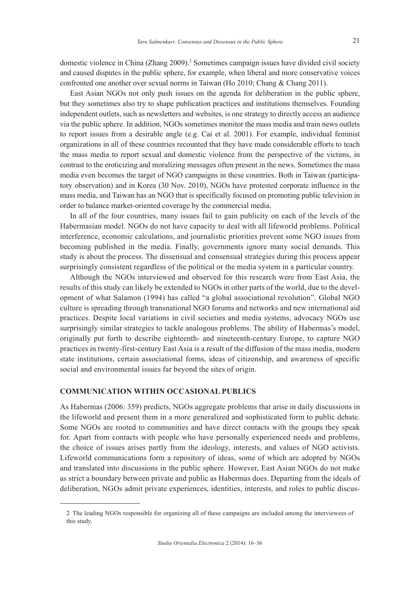domestic violence in China (Zhang 2009).<sup>2</sup> Sometimes campaign issues have divided civil society and caused disputes in the public sphere, for example, when liberal and more conservative voices confronted one another over sexual norms in Taiwan (Ho 2010; Chang & Chang 2011).

East Asian NGOs not only push issues on the agenda for deliberation in the public sphere, but they sometimes also try to shape publication practices and institutions themselves. Founding independent outlets, such as newsletters and websites, is one strategy to directly access an audience via the public sphere. In addition, NGOs sometimes monitor the mass media and train news outlets to report issues from a desirable angle (e.g. Cai et al. 2001). For example, individual feminist organizations in all of these countries recounted that they have made considerable efforts to teach the mass media to report sexual and domestic violence from the perspective of the victims, in contrast to the eroticizing and moralizing messages often present in the news. Sometimes the mass media even becomes the target of NGO campaigns in these countries. Both in Taiwan (participatory observation) and in Korea (30 Nov. 2010), NGOs have protested corporate influence in the mass media, and Taiwan has an NGO that is specifically focused on promoting public television in order to balance market-oriented coverage by the commercial media.

In all of the four countries, many issues fail to gain publicity on each of the levels of the Habermasian model. NGOs do not have capacity to deal with all lifeworld problems. Political interference, economic calculations, and journalistic priorities prevent some NGO issues from becoming published in the media. Finally, governments ignore many social demands. This study is about the process. The dissensual and consensual strategies during this process appear surprisingly consistent regardless of the political or the media system in a particular country.

Although the NGOs interviewed and observed for this research were from East Asia, the results of this study can likely be extended to NGOs in other parts of the world, due to the development of what Salamon (1994) has called "a global associational revolution". Global NGO culture is spreading through transnational NGO forums and networks and new international aid practices. Despite local variations in civil societies and media systems, advocacy NGOs use surprisingly similar strategies to tackle analogous problems. The ability of Habermas's model, originally put forth to describe eighteenth- and nineteenth-century Europe, to capture NGO practices in twenty-first-century East Asia is a result of the diffusion of the mass media, modern state institutions, certain associational forms, ideas of citizenship, and awareness of specific social and environmental issues far beyond the sites of origin.

#### **COMMUNICATION WITHIN OCCASIONAL PUBLICS**

As Habermas (2006: 359) predicts, NGOs aggregate problems that arise in daily discussions in the lifeworld and present them in a more generalized and sophisticated form to public debate. Some NGOs are rooted to communities and have direct contacts with the groups they speak for. Apart from contacts with people who have personally experienced needs and problems, the choice of issues arises partly from the ideology, interests, and values of NGO activists. Lifeworld communications form a repository of ideas, some of which are adopted by NGOs and translated into discussions in the public sphere. However, East Asian NGOs do not make as strict a boundary between private and public as Habermas does. Departing from the ideals of deliberation, NGOs admit private experiences, identities, interests, and roles to public discus-

<sup>2</sup> The leading NGOs responsible for organizing all of these campaigns are included among the interviewees of this study.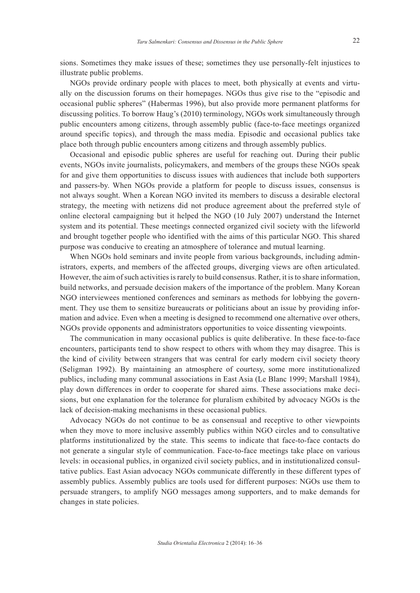sions. Sometimes they make issues of these; sometimes they use personally-felt injustices to illustrate public problems.

NGOs provide ordinary people with places to meet, both physically at events and virtually on the discussion forums on their homepages. NGOs thus give rise to the "episodic and occasional public spheres" (Habermas 1996), but also provide more permanent platforms for discussing politics. To borrow Haug's (2010) terminology, NGOs work simultaneously through public encounters among citizens, through assembly public (face-to-face meetings organized around specific topics), and through the mass media. Episodic and occasional publics take place both through public encounters among citizens and through assembly publics.

Occasional and episodic public spheres are useful for reaching out. During their public events, NGOs invite journalists, policymakers, and members of the groups these NGOs speak for and give them opportunities to discuss issues with audiences that include both supporters and passers-by. When NGOs provide a platform for people to discuss issues, consensus is not always sought. When a Korean NGO invited its members to discuss a desirable electoral strategy, the meeting with netizens did not produce agreement about the preferred style of online electoral campaigning but it helped the NGO (10 July 2007) understand the Internet system and its potential. These meetings connected organized civil society with the lifeworld and brought together people who identified with the aims of this particular NGO. This shared purpose was conducive to creating an atmosphere of tolerance and mutual learning.

When NGOs hold seminars and invite people from various backgrounds, including administrators, experts, and members of the affected groups, diverging views are often articulated. However, the aim of such activities is rarely to build consensus. Rather, it is to share information, build networks, and persuade decision makers of the importance of the problem. Many Korean NGO interviewees mentioned conferences and seminars as methods for lobbying the government. They use them to sensitize bureaucrats or politicians about an issue by providing information and advice. Even when a meeting is designed to recommend one alternative over others, NGOs provide opponents and administrators opportunities to voice dissenting viewpoints.

The communication in many occasional publics is quite deliberative. In these face-to-face encounters, participants tend to show respect to others with whom they may disagree. This is the kind of civility between strangers that was central for early modern civil society theory (Seligman 1992). By maintaining an atmosphere of courtesy, some more institutionalized publics, including many communal associations in East Asia (Le Blanc 1999; Marshall 1984), play down differences in order to cooperate for shared aims. These associations make decisions, but one explanation for the tolerance for pluralism exhibited by advocacy NGOs is the lack of decision-making mechanisms in these occasional publics.

Advocacy NGOs do not continue to be as consensual and receptive to other viewpoints when they move to more inclusive assembly publics within NGO circles and to consultative platforms institutionalized by the state. This seems to indicate that face-to-face contacts do not generate a singular style of communication. Face-to-face meetings take place on various levels: in occasional publics, in organized civil society publics, and in institutionalized consultative publics. East Asian advocacy NGOs communicate differently in these different types of assembly publics. Assembly publics are tools used for different purposes: NGOs use them to persuade strangers, to amplify NGO messages among supporters, and to make demands for changes in state policies.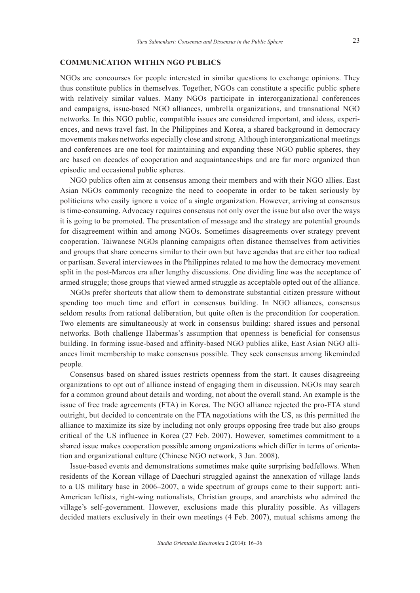#### **COMMUNICATION WITHIN NGO PUBLICS**

NGOs are concourses for people interested in similar questions to exchange opinions. They thus constitute publics in themselves. Together, NGOs can constitute a specific public sphere with relatively similar values. Many NGOs participate in interorganizational conferences and campaigns, issue-based NGO alliances, umbrella organizations, and transnational NGO networks. In this NGO public, compatible issues are considered important, and ideas, experiences, and news travel fast. In the Philippines and Korea, a shared background in democracy movements makes networks especially close and strong. Although interorganizational meetings and conferences are one tool for maintaining and expanding these NGO public spheres, they are based on decades of cooperation and acquaintanceships and are far more organized than episodic and occasional public spheres.

NGO publics often aim at consensus among their members and with their NGO allies. East Asian NGOs commonly recognize the need to cooperate in order to be taken seriously by politicians who easily ignore a voice of a single organization. However, arriving at consensus is time-consuming. Advocacy requires consensus not only over the issue but also over the ways it is going to be promoted. The presentation of message and the strategy are potential grounds for disagreement within and among NGOs. Sometimes disagreements over strategy prevent cooperation. Taiwanese NGOs planning campaigns often distance themselves from activities and groups that share concerns similar to their own but have agendas that are either too radical or partisan. Several interviewees in the Philippines related to me how the democracy movement split in the post-Marcos era after lengthy discussions. One dividing line was the acceptance of armed struggle; those groups that viewed armed struggle as acceptable opted out of the alliance.

NGOs prefer shortcuts that allow them to demonstrate substantial citizen pressure without spending too much time and effort in consensus building. In NGO alliances, consensus seldom results from rational deliberation, but quite often is the precondition for cooperation. Two elements are simultaneously at work in consensus building: shared issues and personal networks. Both challenge Habermas's assumption that openness is beneficial for consensus building. In forming issue-based and affinity-based NGO publics alike, East Asian NGO alliances limit membership to make consensus possible. They seek consensus among likeminded people.

Consensus based on shared issues restricts openness from the start. It causes disagreeing organizations to opt out of alliance instead of engaging them in discussion. NGOs may search for a common ground about details and wording, not about the overall stand. An example is the issue of free trade agreements (FTA) in Korea. The NGO alliance rejected the pro-FTA stand outright, but decided to concentrate on the FTA negotiations with the US, as this permitted the alliance to maximize its size by including not only groups opposing free trade but also groups critical of the US influence in Korea (27 Feb. 2007). However, sometimes commitment to a shared issue makes cooperation possible among organizations which differ in terms of orientation and organizational culture (Chinese NGO network, 3 Jan. 2008).

Issue-based events and demonstrations sometimes make quite surprising bedfellows. When residents of the Korean village of Daechuri struggled against the annexation of village lands to a US military base in 2006–2007, a wide spectrum of groups came to their support: anti-American leftists, right-wing nationalists, Christian groups, and anarchists who admired the village's self-government. However, exclusions made this plurality possible. As villagers decided matters exclusively in their own meetings (4 Feb. 2007), mutual schisms among the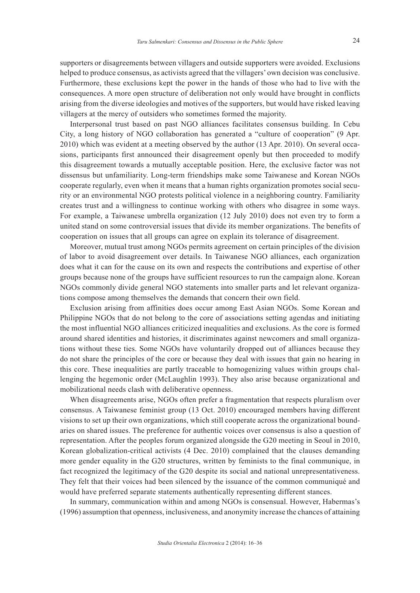supporters or disagreements between villagers and outside supporters were avoided. Exclusions helped to produce consensus, as activists agreed that the villagers' own decision was conclusive. Furthermore, these exclusions kept the power in the hands of those who had to live with the consequences. A more open structure of deliberation not only would have brought in conflicts arising from the diverse ideologies and motives of the supporters, but would have risked leaving villagers at the mercy of outsiders who sometimes formed the majority.

Interpersonal trust based on past NGO alliances facilitates consensus building. In Cebu City, a long history of NGO collaboration has generated a "culture of cooperation" (9 Apr. 2010) which was evident at a meeting observed by the author (13 Apr. 2010). On several occasions, participants first announced their disagreement openly but then proceeded to modify this disagreement towards a mutually acceptable position. Here, the exclusive factor was not dissensus but unfamiliarity. Long-term friendships make some Taiwanese and Korean NGOs cooperate regularly, even when it means that a human rights organization promotes social security or an environmental NGO protests political violence in a neighboring country. Familiarity creates trust and a willingness to continue working with others who disagree in some ways. For example, a Taiwanese umbrella organization (12 July 2010) does not even try to form a united stand on some controversial issues that divide its member organizations. The benefits of cooperation on issues that all groups can agree on explain its tolerance of disagreement.

Moreover, mutual trust among NGOs permits agreement on certain principles of the division of labor to avoid disagreement over details. In Taiwanese NGO alliances, each organization does what it can for the cause on its own and respects the contributions and expertise of other groups because none of the groups have sufficient resources to run the campaign alone. Korean NGOs commonly divide general NGO statements into smaller parts and let relevant organizations compose among themselves the demands that concern their own field.

Exclusion arising from affinities does occur among East Asian NGOs. Some Korean and Philippine NGOs that do not belong to the core of associations setting agendas and initiating the most influential NGO alliances criticized inequalities and exclusions. As the core is formed around shared identities and histories, it discriminates against newcomers and small organizations without these ties. Some NGOs have voluntarily dropped out of alliances because they do not share the principles of the core or because they deal with issues that gain no hearing in this core. These inequalities are partly traceable to homogenizing values within groups challenging the hegemonic order (McLaughlin 1993). They also arise because organizational and mobilizational needs clash with deliberative openness.

When disagreements arise, NGOs often prefer a fragmentation that respects pluralism over consensus. A Taiwanese feminist group (13 Oct. 2010) encouraged members having different visions to set up their own organizations, which still cooperate across the organizational boundaries on shared issues. The preference for authentic voices over consensus is also a question of representation. After the peoples forum organized alongside the G20 meeting in Seoul in 2010, Korean globalization-critical activists (4 Dec. 2010) complained that the clauses demanding more gender equality in the G20 structures, written by feminists to the final communique, in fact recognized the legitimacy of the G20 despite its social and national unrepresentativeness. They felt that their voices had been silenced by the issuance of the common communiqué and would have preferred separate statements authentically representing different stances.

In summary, communication within and among NGOs is consensual. However, Habermas's (1996) assumption that openness, inclusiveness, and anonymity increase the chances of attaining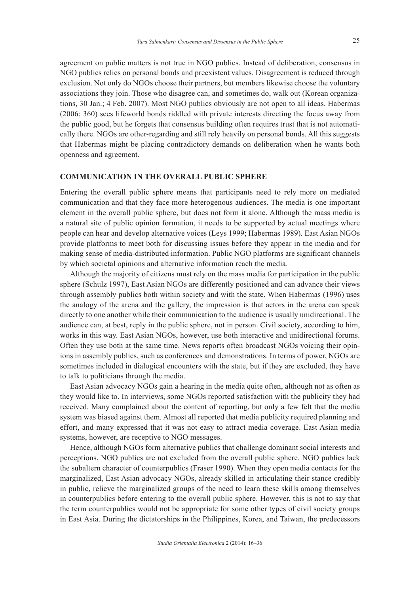agreement on public matters is not true in NGO publics. Instead of deliberation, consensus in NGO publics relies on personal bonds and preexistent values. Disagreement is reduced through exclusion. Not only do NGOs choose their partners, but members likewise choose the voluntary associations they join. Those who disagree can, and sometimes do, walk out (Korean organizations, 30 Jan.; 4 Feb. 2007). Most NGO publics obviously are not open to all ideas. Habermas (2006: 360) sees lifeworld bonds riddled with private interests directing the focus away from the public good, but he forgets that consensus building often requires trust that is not automatically there. NGOs are other-regarding and still rely heavily on personal bonds. All this suggests that Habermas might be placing contradictory demands on deliberation when he wants both openness and agreement.

#### **COMMUNICATION IN THE OVERALL PUBLIC SPHERE**

Entering the overall public sphere means that participants need to rely more on mediated communication and that they face more heterogenous audiences. The media is one important element in the overall public sphere, but does not form it alone. Although the mass media is a natural site of public opinion formation, it needs to be supported by actual meetings where people can hear and develop alternative voices (Leys 1999; Habermas 1989). East Asian NGOs provide platforms to meet both for discussing issues before they appear in the media and for making sense of media-distributed information. Public NGO platforms are significant channels by which societal opinions and alternative information reach the media.

Although the majority of citizens must rely on the mass media for participation in the public sphere (Schulz 1997), East Asian NGOs are differently positioned and can advance their views through assembly publics both within society and with the state. When Habermas (1996) uses the analogy of the arena and the gallery, the impression is that actors in the arena can speak directly to one another while their communication to the audience is usually unidirectional. The audience can, at best, reply in the public sphere, not in person. Civil society, according to him, works in this way. East Asian NGOs, however, use both interactive and unidirectional forums. Often they use both at the same time. News reports often broadcast NGOs voicing their opinions in assembly publics, such as conferences and demonstrations. In terms of power, NGOs are sometimes included in dialogical encounters with the state, but if they are excluded, they have to talk to politicians through the media.

East Asian advocacy NGOs gain a hearing in the media quite often, although not as often as they would like to. In interviews, some NGOs reported satisfaction with the publicity they had received. Many complained about the content of reporting, but only a few felt that the media system was biased against them. Almost all reported that media publicity required planning and effort, and many expressed that it was not easy to attract media coverage. East Asian media systems, however, are receptive to NGO messages.

Hence, although NGOs form alternative publics that challenge dominant social interests and perceptions, NGO publics are not excluded from the overall public sphere. NGO publics lack the subaltern character of counterpublics (Fraser 1990). When they open media contacts for the marginalized, East Asian advocacy NGOs, already skilled in articulating their stance credibly in public, relieve the marginalized groups of the need to learn these skills among themselves in counterpublics before entering to the overall public sphere. However, this is not to say that the term counterpublics would not be appropriate for some other types of civil society groups in East Asia. During the dictatorships in the Philippines, Korea, and Taiwan, the predecessors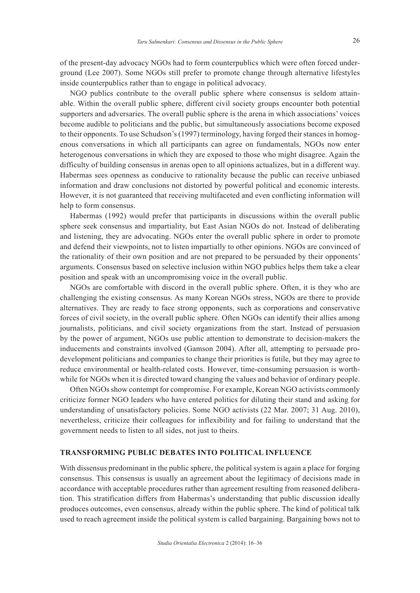of the present-day advocacy NGOs had to form counterpublics which were often forced underground (Lee 2007). Some NGOs still prefer to promote change through alternative lifestyles inside counterpublics rather than to engage in political advocacy.

NGO publics contribute to the overall public sphere where consensus is seldom attainable. Within the overall public sphere, different civil society groups encounter both potential supporters and adversaries. The overall public sphere is the arena in which associations' voices become audible to politicians and the public, but simultaneously associations become exposed to their opponents. To use Schudson's (1997) terminology, having forged their stances in homogenous conversations in which all participants can agree on fundamentals, NGOs now enter heterogenous conversations in which they are exposed to those who might disagree. Again the difficulty of building consensus in arenas open to all opinions actualizes, but in a different way. Habermas sees openness as conducive to rationality because the public can receive unbiased information and draw conclusions not distorted by powerful political and economic interests. However, it is not guaranteed that receiving multifaceted and even conflicting information will help to form consensus.

Habermas (1992) would prefer that participants in discussions within the overall public sphere seek consensus and impartiality, but East Asian NGOs do not. Instead of deliberating and listening, they are advocating. NGOs enter the overall public sphere in order to promote and defend their viewpoints, not to listen impartially to other opinions. NGOs are convinced of the rationality of their own position and are not prepared to be persuaded by their opponents' arguments. Consensus based on selective inclusion within NGO publics helps them take a clear position and speak with an uncompromising voice in the overall public.

NGOs are comfortable with discord in the overall public sphere. Often, it is they who are challenging the existing consensus. As many Korean NGOs stress, NGOs are there to provide alternatives. They are ready to face strong opponents, such as corporations and conservative forces of civil society, in the overall public sphere. Often NGOs can identify their allies among journalists, politicians, and civil society organizations from the start. Instead of persuasion by the power of argument, NGOs use public attention to demonstrate to decision-makers the inducements and constraints involved (Gamson 2004). After all, attempting to persuade prodevelopment politicians and companies to change their priorities is futile, but they may agree to reduce environmental or health-related costs. However, time-consuming persuasion is worthwhile for NGOs when it is directed toward changing the values and behavior of ordinary people.

Often NGOs show contempt for compromise. For example, Korean NGO activists commonly criticize former NGO leaders who have entered politics for diluting their stand and asking for understanding of unsatisfactory policies. Some NGO activists (22 Mar. 2007; 31 Aug. 2010), nevertheless, criticize their colleagues for inflexibility and for failing to understand that the government needs to listen to all sides, not just to theirs.

#### **TRANSFORMING PUBLIC DEBATES INTO POLITICAL INFLUENCE**

With dissensus predominant in the public sphere, the political system is again a place for forging consensus. This consensus is usually an agreement about the legitimacy of decisions made in accordance with acceptable procedures rather than agreement resulting from reasoned deliberation. This stratification differs from Habermas's understanding that public discussion ideally produces outcomes, even consensus, already within the public sphere. The kind of political talk used to reach agreement inside the political system is called bargaining. Bargaining bows not to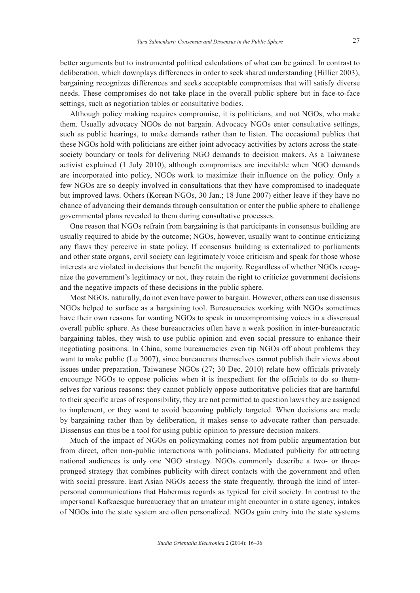better arguments but to instrumental political calculations of what can be gained. In contrast to deliberation, which downplays differences in order to seek shared understanding (Hillier 2003), bargaining recognizes differences and seeks acceptable compromises that will satisfy diverse needs. These compromises do not take place in the overall public sphere but in face-to-face settings, such as negotiation tables or consultative bodies.

Although policy making requires compromise, it is politicians, and not NGOs, who make them. Usually advocacy NGOs do not bargain. Advocacy NGOs enter consultative settings, such as public hearings, to make demands rather than to listen. The occasional publics that these NGOs hold with politicians are either joint advocacy activities by actors across the statesociety boundary or tools for delivering NGO demands to decision makers. As a Taiwanese activist explained (1 July 2010), although compromises are inevitable when NGO demands are incorporated into policy, NGOs work to maximize their influence on the policy. Only a few NGOs are so deeply involved in consultations that they have compromised to inadequate but improved laws. Others (Korean NGOs, 30 Jan.; 18 June 2007) either leave if they have no chance of advancing their demands through consultation or enter the public sphere to challenge governmental plans revealed to them during consultative processes.

One reason that NGOs refrain from bargaining is that participants in consensus building are usually required to abide by the outcome; NGOs, however, usually want to continue criticizing any flaws they perceive in state policy. If consensus building is externalized to parliaments and other state organs, civil society can legitimately voice criticism and speak for those whose interests are violated in decisions that benefit the majority. Regardless of whether NGOs recognize the government's legitimacy or not, they retain the right to criticize government decisions and the negative impacts of these decisions in the public sphere.

Most NGOs, naturally, do not even have power to bargain. However, others can use dissensus NGOs helped to surface as a bargaining tool. Bureaucracies working with NGOs sometimes have their own reasons for wanting NGOs to speak in uncompromising voices in a dissensual overall public sphere. As these bureaucracies often have a weak position in inter-bureaucratic bargaining tables, they wish to use public opinion and even social pressure to enhance their negotiating positions. In China, some bureaucracies even tip NGOs off about problems they want to make public (Lu 2007), since bureaucrats themselves cannot publish their views about issues under preparation. Taiwanese NGOs (27; 30 Dec. 2010) relate how officials privately encourage NGOs to oppose policies when it is inexpedient for the officials to do so themselves for various reasons: they cannot publicly oppose authoritative policies that are harmful to their specific areas of responsibility, they are not permitted to question laws they are assigned to implement, or they want to avoid becoming publicly targeted. When decisions are made by bargaining rather than by deliberation, it makes sense to advocate rather than persuade. Dissensus can thus be a tool for using public opinion to pressure decision makers.

Much of the impact of NGOs on policymaking comes not from public argumentation but from direct, often non-public interactions with politicians. Mediated publicity for attracting national audiences is only one NGO strategy. NGOs commonly describe a two- or threepronged strategy that combines publicity with direct contacts with the government and often with social pressure. East Asian NGOs access the state frequently, through the kind of interpersonal communications that Habermas regards as typical for civil society. In contrast to the impersonal Kafkaesque bureaucracy that an amateur might encounter in a state agency, intakes of NGOs into the state system are often personalized. NGOs gain entry into the state systems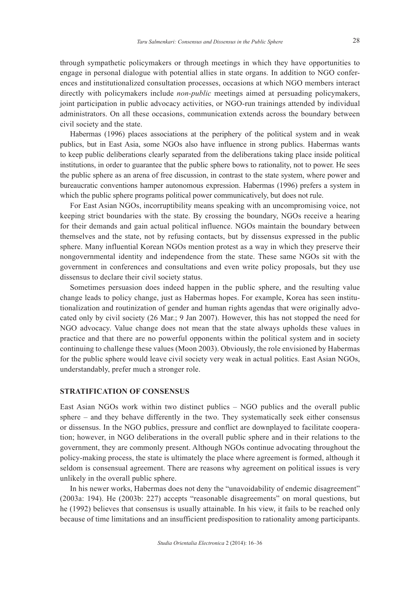through sympathetic policymakers or through meetings in which they have opportunities to engage in personal dialogue with potential allies in state organs. In addition to NGO conferences and institutionalized consultation processes, occasions at which NGO members interact directly with policymakers include *non-public* meetings aimed at persuading policymakers, joint participation in public advocacy activities, or NGO-run trainings attended by individual administrators. On all these occasions, communication extends across the boundary between civil society and the state.

Habermas (1996) places associations at the periphery of the political system and in weak publics, but in East Asia, some NGOs also have influence in strong publics. Habermas wants to keep public deliberations clearly separated from the deliberations taking place inside political institutions, in order to guarantee that the public sphere bows to rationality, not to power. He sees the public sphere as an arena of free discussion, in contrast to the state system, where power and bureaucratic conventions hamper autonomous expression. Habermas (1996) prefers a system in which the public sphere programs political power communicatively, but does not rule.

For East Asian NGOs, incorruptibility means speaking with an uncompromising voice, not keeping strict boundaries with the state. By crossing the boundary, NGOs receive a hearing for their demands and gain actual political influence. NGOs maintain the boundary between themselves and the state, not by refusing contacts, but by dissensus expressed in the public sphere. Many influential Korean NGOs mention protest as a way in which they preserve their nongovernmental identity and independence from the state. These same NGOs sit with the government in conferences and consultations and even write policy proposals, but they use dissensus to declare their civil society status.

Sometimes persuasion does indeed happen in the public sphere, and the resulting value change leads to policy change, just as Habermas hopes. For example, Korea has seen institutionalization and routinization of gender and human rights agendas that were originally advocated only by civil society (26 Mar.; 9 Jan 2007). However, this has not stopped the need for NGO advocacy. Value change does not mean that the state always upholds these values in practice and that there are no powerful opponents within the political system and in society continuing to challenge these values (Moon 2003). Obviously, the role envisioned by Habermas for the public sphere would leave civil society very weak in actual politics. East Asian NGOs, understandably, prefer much a stronger role.

#### **STRATIFICATION OF CONSENSUS**

East Asian NGOs work within two distinct publics – NGO publics and the overall public sphere – and they behave differently in the two. They systematically seek either consensus or dissensus. In the NGO publics, pressure and conflict are downplayed to facilitate cooperation; however, in NGO deliberations in the overall public sphere and in their relations to the government, they are commonly present. Although NGOs continue advocating throughout the policy-making process, the state is ultimately the place where agreement is formed, although it seldom is consensual agreement. There are reasons why agreement on political issues is very unlikely in the overall public sphere.

In his newer works, Habermas does not deny the "unavoidability of endemic disagreement" (2003a: 194). He (2003b: 227) accepts "reasonable disagreements" on moral questions, but he (1992) believes that consensus is usually attainable. In his view, it fails to be reached only because of time limitations and an insufficient predisposition to rationality among participants.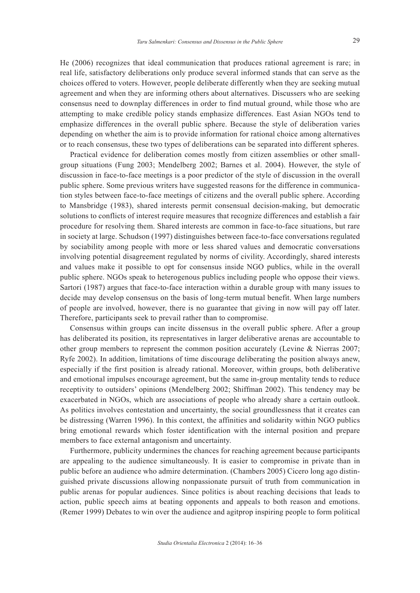He (2006) recognizes that ideal communication that produces rational agreement is rare; in real life, satisfactory deliberations only produce several informed stands that can serve as the choices offered to voters. However, people deliberate differently when they are seeking mutual agreement and when they are informing others about alternatives. Discussers who are seeking consensus need to downplay differences in order to find mutual ground, while those who are attempting to make credible policy stands emphasize differences. East Asian NGOs tend to emphasize differences in the overall public sphere. Because the style of deliberation varies depending on whether the aim is to provide information for rational choice among alternatives or to reach consensus, these two types of deliberations can be separated into different spheres.

Practical evidence for deliberation comes mostly from citizen assemblies or other smallgroup situations (Fung 2003; Mendelberg 2002; Barnes et al. 2004). However, the style of discussion in face-to-face meetings is a poor predictor of the style of discussion in the overall public sphere. Some previous writers have suggested reasons for the difference in communication styles between face-to-face meetings of citizens and the overall public sphere. According to Mansbridge (1983), shared interests permit consensual decision-making, but democratic solutions to conflicts of interest require measures that recognize differences and establish a fair procedure for resolving them. Shared interests are common in face-to-face situations, but rare in society at large. Schudson (1997) distinguishes between face-to-face conversations regulated by sociability among people with more or less shared values and democratic conversations involving potential disagreement regulated by norms of civility. Accordingly, shared interests and values make it possible to opt for consensus inside NGO publics, while in the overall public sphere. NGOs speak to heterogenous publics including people who oppose their views. Sartori (1987) argues that face-to-face interaction within a durable group with many issues to decide may develop consensus on the basis of long-term mutual benefit. When large numbers of people are involved, however, there is no guarantee that giving in now will pay off later. Therefore, participants seek to prevail rather than to compromise.

Consensus within groups can incite dissensus in the overall public sphere. After a group has deliberated its position, its representatives in larger deliberative arenas are accountable to other group members to represent the common position accurately (Levine & Nierras 2007; Ryfe 2002). In addition, limitations of time discourage deliberating the position always anew, especially if the first position is already rational. Moreover, within groups, both deliberative and emotional impulses encourage agreement, but the same in-group mentality tends to reduce receptivity to outsiders' opinions (Mendelberg 2002; Shiffman 2002). This tendency may be exacerbated in NGOs, which are associations of people who already share a certain outlook. As politics involves contestation and uncertainty, the social groundlessness that it creates can be distressing (Warren 1996). In this context, the affinities and solidarity within NGO publics bring emotional rewards which foster identification with the internal position and prepare members to face external antagonism and uncertainty.

Furthermore, publicity undermines the chances for reaching agreement because participants are appealing to the audience simultaneously. It is easier to compromise in private than in public before an audience who admire determination. (Chambers 2005) Cicero long ago distinguished private discussions allowing nonpassionate pursuit of truth from communication in public arenas for popular audiences. Since politics is about reaching decisions that leads to action, public speech aims at beating opponents and appeals to both reason and emotions. (Remer 1999) Debates to win over the audience and agitprop inspiring people to form political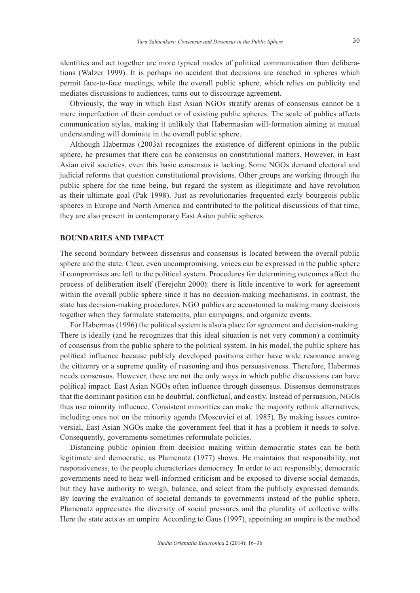identities and act together are more typical modes of political communication than deliberations (Walzer 1999). It is perhaps no accident that decisions are reached in spheres which permit face-to-face meetings, while the overall public sphere, which relies on publicity and mediates discussions to audiences, turns out to discourage agreement.

Obviously, the way in which East Asian NGOs stratify arenas of consensus cannot be a mere imperfection of their conduct or of existing public spheres. The scale of publics affects communication styles, making it unlikely that Habermasian will-formation aiming at mutual understanding will dominate in the overall public sphere.

Although Habermas (2003a) recognizes the existence of different opinions in the public sphere, he presumes that there can be consensus on constitutional matters. However, in East Asian civil societies, even this basic consensus is lacking. Some NGOs demand electoral and judicial reforms that question constitutional provisions. Other groups are working through the public sphere for the time being, but regard the system as illegitimate and have revolution as their ultimate goal (Pak 1998). Just as revolutionaries frequented early bourgeois public spheres in Europe and North America and contributed to the political discussions of that time, they are also present in contemporary East Asian public spheres.

## **BOUNDARIES AND IMPACT**

The second boundary between dissensus and consensus is located between the overall public sphere and the state. Clear, even uncompromising, voices can be expressed in the public sphere if compromises are left to the political system. Procedures for determining outcomes affect the process of deliberation itself (Ferejohn 2000): there is little incentive to work for agreement within the overall public sphere since it has no decision-making mechanisms. In contrast, the state has decision-making procedures. NGO publics are accustomed to making many decisions together when they formulate statements, plan campaigns, and organize events.

For Habermas (1996) the political system is also a place for agreement and decision-making. There is ideally (and he recognizes that this ideal situation is not very common) a continuity of consensus from the public sphere to the political system. In his model, the public sphere has political influence because publicly developed positions either have wide resonance among the citizenry or a supreme quality of reasoning and thus persuasiveness. Therefore, Habermas needs consensus. However, these are not the only ways in which public discussions can have political impact. East Asian NGOs often influence through dissensus. Dissensus demonstrates that the dominant position can be doubtful, conflictual, and costly. Instead of persuasion, NGOs thus use minority influence. Consistent minorities can make the majority rethink alternatives, including ones not on the minority agenda (Moscovici et al. 1985). By making issues controversial, East Asian NGOs make the government feel that it has a problem it needs to solve. Consequently, governments sometimes reformulate policies.

Distancing public opinion from decision making within democratic states can be both legitimate and democratic, as Plamenatz (1977) shows. He maintains that responsibility, not responsiveness, to the people characterizes democracy. In order to act responsibly, democratic governments need to hear well-informed criticism and be exposed to diverse social demands, but they have authority to weigh, balance, and select from the publicly expressed demands. By leaving the evaluation of societal demands to governments instead of the public sphere, Plamenatz appreciates the diversity of social pressures and the plurality of collective wills. Here the state acts as an umpire. According to Gaus (1997), appointing an umpire is the method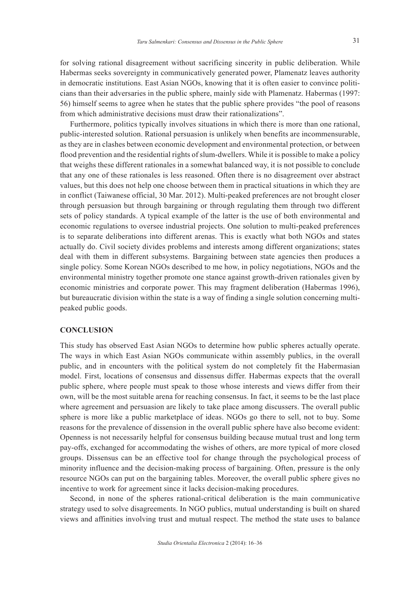for solving rational disagreement without sacrificing sincerity in public deliberation. While Habermas seeks sovereignty in communicatively generated power, Plamenatz leaves authority in democratic institutions. East Asian NGOs, knowing that it is often easier to convince politicians than their adversaries in the public sphere, mainly side with Plamenatz. Habermas (1997: 56) himself seems to agree when he states that the public sphere provides "the pool of reasons from which administrative decisions must draw their rationalizations".

Furthermore, politics typically involves situations in which there is more than one rational, public-interested solution. Rational persuasion is unlikely when benefits are incommensurable, as they are in clashes between economic development and environmental protection, or between flood prevention and the residential rights of slum-dwellers. While it is possible to make a policy that weighs these different rationales in a somewhat balanced way, it is not possible to conclude that any one of these rationales is less reasoned. Often there is no disagreement over abstract values, but this does not help one choose between them in practical situations in which they are in conflict (Taiwanese official, 30 Mar. 2012). Multi-peaked preferences are not brought closer through persuasion but through bargaining or through regulating them through two different sets of policy standards. A typical example of the latter is the use of both environmental and economic regulations to oversee industrial projects. One solution to multi-peaked preferences is to separate deliberations into different arenas. This is exactly what both NGOs and states actually do. Civil society divides problems and interests among different organizations; states deal with them in different subsystems. Bargaining between state agencies then produces a single policy. Some Korean NGOs described to me how, in policy negotiations, NGOs and the environmental ministry together promote one stance against growth-driven rationales given by economic ministries and corporate power. This may fragment deliberation (Habermas 1996), but bureaucratic division within the state is a way of finding a single solution concerning multipeaked public goods.

### **CONCLUSION**

This study has observed East Asian NGOs to determine how public spheres actually operate. The ways in which East Asian NGOs communicate within assembly publics, in the overall public, and in encounters with the political system do not completely fit the Habermasian model. First, locations of consensus and dissensus differ. Habermas expects that the overall public sphere, where people must speak to those whose interests and views differ from their own, will be the most suitable arena for reaching consensus. In fact, it seems to be the last place where agreement and persuasion are likely to take place among discussers. The overall public sphere is more like a public marketplace of ideas. NGOs go there to sell, not to buy. Some reasons for the prevalence of dissension in the overall public sphere have also become evident: Openness is not necessarily helpful for consensus building because mutual trust and long term pay-offs, exchanged for accommodating the wishes of others, are more typical of more closed groups. Dissensus can be an effective tool for change through the psychological process of minority influence and the decision-making process of bargaining. Often, pressure is the only resource NGOs can put on the bargaining tables. Moreover, the overall public sphere gives no incentive to work for agreement since it lacks decision-making procedures.

Second, in none of the spheres rational-critical deliberation is the main communicative strategy used to solve disagreements. In NGO publics, mutual understanding is built on shared views and affinities involving trust and mutual respect. The method the state uses to balance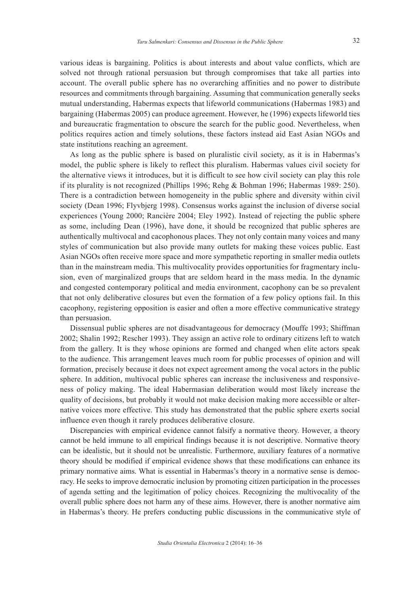various ideas is bargaining. Politics is about interests and about value conflicts, which are solved not through rational persuasion but through compromises that take all parties into account. The overall public sphere has no overarching affinities and no power to distribute resources and commitments through bargaining. Assuming that communication generally seeks mutual understanding, Habermas expects that lifeworld communications (Habermas 1983) and bargaining (Habermas 2005) can produce agreement. However, he (1996) expects lifeworld ties and bureaucratic fragmentation to obscure the search for the public good. Nevertheless, when politics requires action and timely solutions, these factors instead aid East Asian NGOs and state institutions reaching an agreement.

As long as the public sphere is based on pluralistic civil society, as it is in Habermas's model, the public sphere is likely to reflect this pluralism. Habermas values civil society for the alternative views it introduces, but it is difficult to see how civil society can play this role if its plurality is not recognized (Phillips 1996; Rehg & Bohman 1996; Habermas 1989: 250). There is a contradiction between homogeneity in the public sphere and diversity within civil society (Dean 1996; Flyvbjerg 1998). Consensus works against the inclusion of diverse social experiences (Young 2000; Rancière 2004; Eley 1992). Instead of rejecting the public sphere as some, including Dean (1996), have done, it should be recognized that public spheres are authentically multivocal and cacophonous places. They not only contain many voices and many styles of communication but also provide many outlets for making these voices public. East Asian NGOs often receive more space and more sympathetic reporting in smaller media outlets than in the mainstream media. This multivocality provides opportunities for fragmentary inclusion, even of marginalized groups that are seldom heard in the mass media. In the dynamic and congested contemporary political and media environment, cacophony can be so prevalent that not only deliberative closures but even the formation of a few policy options fail. In this cacophony, registering opposition is easier and often a more effective communicative strategy than persuasion.

Dissensual public spheres are not disadvantageous for democracy (Mouffe 1993; Shiffman 2002; Shalin 1992; Rescher 1993). They assign an active role to ordinary citizens left to watch from the gallery. It is they whose opinions are formed and changed when elite actors speak to the audience. This arrangement leaves much room for public processes of opinion and will formation, precisely because it does not expect agreement among the vocal actors in the public sphere. In addition, multivocal public spheres can increase the inclusiveness and responsiveness of policy making. The ideal Habermasian deliberation would most likely increase the quality of decisions, but probably it would not make decision making more accessible or alternative voices more effective. This study has demonstrated that the public sphere exerts social influence even though it rarely produces deliberative closure.

Discrepancies with empirical evidence cannot falsify a normative theory. However, a theory cannot be held immune to all empirical findings because it is not descriptive. Normative theory can be idealistic, but it should not be unrealistic. Furthermore, auxiliary features of a normative theory should be modified if empirical evidence shows that these modifications can enhance its primary normative aims. What is essential in Habermas's theory in a normative sense is democracy. He seeks to improve democratic inclusion by promoting citizen participation in the processes of agenda setting and the legitimation of policy choices. Recognizing the multivocality of the overall public sphere does not harm any of these aims. However, there is another normative aim in Habermas's theory. He prefers conducting public discussions in the communicative style of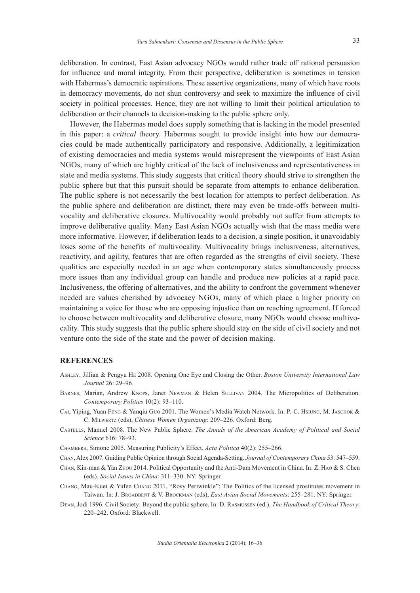deliberation. In contrast, East Asian advocacy NGOs would rather trade off rational persuasion for influence and moral integrity. From their perspective, deliberation is sometimes in tension with Habermas's democratic aspirations. These assertive organizations, many of which have roots in democracy movements, do not shun controversy and seek to maximize the influence of civil society in political processes. Hence, they are not willing to limit their political articulation to deliberation or their channels to decision-making to the public sphere only.

However, the Habermas model does supply something that is lacking in the model presented in this paper: a *critical* theory. Habermas sought to provide insight into how our democracies could be made authentically participatory and responsive. Additionally, a legitimization of existing democracies and media systems would misrepresent the viewpoints of East Asian NGOs, many of which are highly critical of the lack of inclusiveness and representativeness in state and media systems. This study suggests that critical theory should strive to strengthen the public sphere but that this pursuit should be separate from attempts to enhance deliberation. The public sphere is not necessarily the best location for attempts to perfect deliberation. As the public sphere and deliberation are distinct, there may even be trade-offs between multivocality and deliberative closures. Multivocality would probably not suffer from attempts to improve deliberative quality. Many East Asian NGOs actually wish that the mass media were more informative. However, if deliberation leads to a decision, a single position, it unavoidably loses some of the benefits of multivocality. Multivocality brings inclusiveness, alternatives, reactivity, and agility, features that are often regarded as the strengths of civil society. These qualities are especially needed in an age when contemporary states simultaneously process more issues than any individual group can handle and produce new policies at a rapid pace. Inclusiveness, the offering of alternatives, and the ability to confront the government whenever needed are values cherished by advocacy NGOs, many of which place a higher priority on maintaining a voice for those who are opposing injustice than on reaching agreement. If forced to choose between multivocality and deliberative closure, many NGOs would choose multivocality. This study suggests that the public sphere should stay on the side of civil society and not venture onto the side of the state and the power of decision making.

## **REFERENCES**

- Ashley, Jillian & Pengyu He 2008. Opening One Eye and Closing the Other. *Boston University International Law Journal* 26: 29–96.
- BARNES, Marian, Andrew KNOPS, Janet NEWMAN & Helen SULLIVAN 2004. The Micropolitics of Deliberation. *Contemporary Politics* 10(2): 93–110.
- Cai, Yiping, Yuan Feng & Yanqiu Guo 2001. The Women's Media Watch Network. In: P.-C. Hsiung, M. Jaschok & C. Milwertz (eds), *Chinese Women Organizing*: 209–226. Oxford: Berg.
- Castells, Manuel 2008. The New Public Sphere. *The Annals of the American Academy of Political and Social Science* 616: 78–93.
- Chambers, Simone 2005. Measuring Publicity's Effect. *Acta Politica* 40(2): 255–266.
- Chan, Alex 2007. Guiding Public Opinion through Social Agenda-Setting. *Journal of Contemporary China* 53: 547–559.
- Chan, Kin-man & Yan Zhou 2014. Political Opportunity and the Anti-Dam Movement in China. In: Z. Hao & S. Chen (eds), *Social Issues in China*: 311–330. NY: Springer.
- Chang, Mau-Kuei & Yufen Chang 2011. "Rosy Periwinkle": The Politics of the licensed prostitutes movement in Taiwan. In: J. Broadbent & V. Brockman (eds), *East Asian Social Movements*: 255–281. NY: Springer.
- Dean, Jodi 1996. Civil Society: Beyond the public sphere. In: D. Rasmussen (ed.), *The Handbook of Critical Theory*: 220–242. Oxford: Blackwell.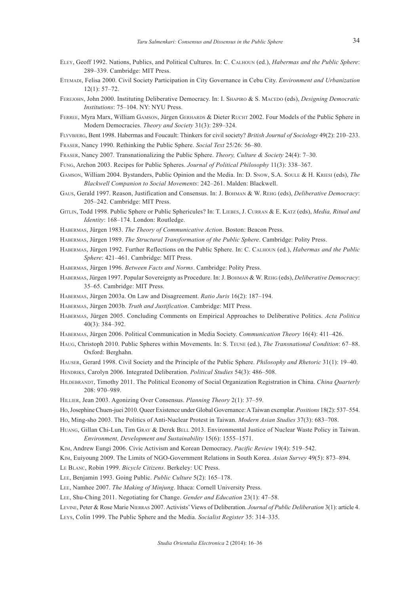- Eley, Geoff 1992. Nations, Publics, and Political Cultures. In: C. Calhoun (ed.), *Habermas and the Public Sphere*: 289–339. Cambridge: MIT Press.
- Etemadi, Felisa 2000. Civil Society Participation in City Governance in Cebu City. *Environment and Urbanization* 12(1): 57–72.
- Ferejohn, John 2000. Instituting Deliberative Democracy. In: I. Shapiro & S. Macedo (eds), *Designing Democratic Institutions*: 75–104. NY: NYU Press.
- FERREE, Myra Marx, William GAMSON, Jürgen GERHARDS & Dieter RUCHT 2002. Four Models of the Public Sphere in Modern Democracies. *Theory and Society* 31(3): 289–324.
- Flyvbjerg, Bent 1998. Habermas and Foucault: Thinkers for civil society? *British Journal of Sociology* 49(2): 210–233.

Fraser, Nancy 1990. Rethinking the Public Sphere. *Social Text* 25/26: 56–80.

Fraser, Nancy 2007. Transnationalizing the Public Sphere. *Theory, Culture & Society* 24(4): 7–30.

- Fung, Archon 2003. Recipes for Public Spheres. *Journal of Political Philosophy* 11(3): 338–367.
- Gamson, William 2004. Bystanders, Public Opinion and the Media. In: D. Snow, S.A. Soule & H. Kriesi (eds), *The Blackwell Companion to Social Movements*: 242–261. Malden: Blackwell.
- Gaus, Gerald 1997. Reason, Justification and Consensus. In: J. Bohman & W. Rehg (eds), *Deliberative Democracy*: 205–242. Cambridge: MIT Press.

Gitlin, Todd 1998. Public Sphere or Public Sphericules? In: T. Liebes, J. Curran & E. Katz (eds), *Media, Ritual and Identity*: 168–174. London: Routledge.

Habermas, Jürgen 1983. *The Theory of Communicative Action*. Boston: Beacon Press.

- Habermas, Jürgen 1989. *The Structural Transformation of the Public Sphere*. Cambridge: Polity Press.
- Habermas, Jürgen 1992. Further Reflections on the Public Sphere. In: C. Calhoun (ed.), *Habermas and the Public Sphere*: 421–461. Cambridge: MIT Press.

Habermas, Jürgen 1996. *Between Facts and Norms*. Cambridge: Polity Press.

- Habermas, Jürgen 1997. Popular Sovereignty as Procedure. In: J. Bohman & W. Rehg (eds), *Deliberative Democracy*: 35–65. Cambridge: MIT Press.
- Habermas, Jürgen 2003a. On Law and Disagreement. *Ratio Juris* 16(2): 187–194.

Habermas, Jürgen 2003b. *Truth and Justification*. Cambridge: MIT Press.

Habermas, Jürgen 2005. Concluding Comments on Empirical Approaches to Deliberative Politics. *Acta Politica* 40(3): 384–392.

Habermas, Jürgen 2006. Political Communication in Media Society. *Communication Theory* 16(4): 411–426.

Haug, Christoph 2010. Public Spheres within Movements. In: S. Teune (ed.), *The Transnational Condition*: 67–88. Oxford: Berghahn.

Hauser, Gerard 1998. Civil Society and the Principle of the Public Sphere. *Philosophy and Rhetoric* 31(1): 19–40. Hendriks, Carolyn 2006. Integrated Deliberation. *Political Studies* 54(3): 486–508.

Hildebrandt, Timothy 2011. The Political Economy of Social Organization Registration in China. *China Quarterly* 208: 970–989.

Hillier, Jean 2003. Agonizing Over Consensus. *Planning Theory* 2(1): 37–59.

- Ho, Josephine Chuen-juei 2010. Queer Existence under Global Governance: A Taiwan exemplar. *Positions* 18(2): 537–554. Ho, Ming-sho 2003. The Politics of Anti-Nuclear Protest in Taiwan. *Modern Asian Studies* 37(3): 683–708.
- HUANG, Gillan Chi-Lun, Tim GRAY & Derek BELL 2013. Environmental Justice of Nuclear Waste Policy in Taiwan. *Environment, Development and Sustainability* 15(6): 1555–1571.

Kim, Andrew Eungi 2006. Civic Activism and Korean Democracy. *Pacific Review* 19(4): 519–542.

Kim, Euiyoung 2009. The Limits of NGO-Government Relations in South Korea. *Asian Survey* 49(5): 873–894.

Le Blanc, Robin 1999. *Bicycle Citizens*. Berkeley: UC Press.

Lee, Benjamin 1993. Going Public. *Public Culture* 5(2): 165–178.

Lee, Namhee 2007. *The Making of Minjung*. Ithaca: Cornell University Press.

Lee, Shu-Ching 2011. Negotiating for Change. *Gender and Education* 23(1): 47–58.

Levine, Peter & Rose Marie Nierras 2007. Activists' Views of Deliberation. *Journal of Public Deliberation* 3(1): article 4. Leys, Colin 1999. The Public Sphere and the Media. *Socialist Register* 35: 314–335.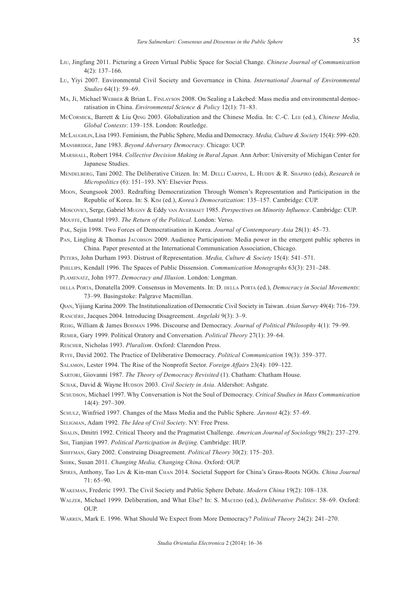- Liu, Jingfang 2011. Picturing a Green Virtual Public Space for Social Change. *Chinese Journal of Communication* 4(2): 137–166.
- Lu, Yiyi 2007. Environmental Civil Society and Governance in China. *International Journal of Environmental Studies* 64(1): 59–69.
- MA, Ji, Michael WEBBER & Brian L. FINLAYSON 2008. On Sealing a Lakebed: Mass media and environmental democratisation in China. *Environmental Science & Policy* 12(1): 71–83.
- McCormick, Barrett & Liu Qing 2003. Globalization and the Chinese Media. In: C.-C. Lee (ed.), *Chinese Media, Global Contexts*: 139–158. London: Routledge.
- McLaughlin, Lisa 1993. Feminism, the Public Sphere, Media and Democracy. *Media, Culture & Society* 15(4): 599–620.

Mansbridge, Jane 1983. *Beyond Adversary Democracy*. Chicago: UCP.

- Marshall, Robert 1984. *Collective Decision Making in Rural Japan.* Ann Arbor: University of Michigan Center for Japanese Studies.
- Mendelberg, Tani 2002. The Deliberative Citizen. In: M. Delli Carpini, L. Huddy & R. Shapiro (eds), *Research in Micropolitics* (6): 151–193. NY: Elsevier Press.
- Moon, Seungsook 2003. Redrafting Democratization Through Women's Representation and Participation in the Republic of Korea. In: S. Kim (ed.), *Korea's Democratization*: 135–157. Cambridge: CUP.

Moscovici, Serge, Gabriel Mugny & Eddy van Avermaet 1985. *Perspectives on Minority Influence*. Cambridge: CUP. Mouffe, Chantal 1993. *The Return of the Political*. London: Verso.

Pak, Sejin 1998. Two Forces of Democratisation in Korea. *Journal of Contemporary Asia* 28(1): 45–73.

Pan, Lingling & Thomas Jacobson 2009. Audience Participation: Media power in the emergent public spheres in China. Paper presented at the International Communication Association, Chicago.

Peters, John Durham 1993. Distrust of Representation. *Media, Culture & Society* 15(4): 541–571.

Phillips, Kendall 1996. The Spaces of Public Dissension. *Communication Monographs* 63(3): 231–248.

Plamenatz, John 1977. *Democracy and Illusion*. London: Longman.

della Porta, Donatella 2009. Consensus in Movements. In: D. della Porta (ed.), *Democracy in Social Movements*: 73–99. Basingstoke: Palgrave Macmillan.

Qian, Yijiang Karina 2009. The Institutionalization of Democratic Civil Society in Taiwan. *Asian Survey* 49(4): 716–739. Rancière, Jacques 2004. Introducing Disagreement. *Angelaki* 9(3): 3–9.

Rehg, William & James Bohman 1996. Discourse and Democracy. *Journal of Political Philosophy* 4(1): 79–99.

Remer, Gary 1999. Political Oratory and Conversation. *Political Theory* 27(1): 39–64.

Rescher, Nicholas 1993. *Pluralism*. Oxford: Clarendon Press.

Ryfe, David 2002. The Practice of Deliberative Democracy. *Political Communication* 19(3): 359–377.

Salamon, Lester 1994. The Rise of the Nonprofit Sector. *Foreign Affairs* 23(4): 109–122.

Sartori, Giovanni 1987. *The Theory of Democracy Revisited* (1). Chatham: Chatham House.

SCHAK, David & Wayne HUDSON 2003. *Civil Society in Asia*. Aldershot: Ashgate.

Schudson, Michael 1997. Why Conversation is Not the Soul of Democracy. *Critical Studies in Mass Communication* 14(4): 297–309.

Schulz, Winfried 1997. Changes of the Mass Media and the Public Sphere. *Javnost* 4(2): 57–69.

Seligman, Adam 1992. *The Idea of Civil Society*. NY: Free Press.

Shalin, Dmitri 1992. Critical Theory and the Pragmatist Challenge. *American Journal of Sociology* 98(2): 237–279.

Shi, Tianjian 1997. *Political Participation in Beijing*. Cambridge: HUP.

Shiffman, Gary 2002. Construing Disagreement. *Political Theory* 30(2): 175–203.

Shirk, Susan 2011. *Changing Media, Changing China*. Oxford: OUP.

Spires, Anthony, Tao Lin & Kin-man Chan 2014. Societal Support for China's Grass-Roots NGOs. *China Journal* 71: 65–90.

Wakeman, Frederic 1993. The Civil Society and Public Sphere Debate. *Modern China* 19(2): 108–138.

- WALZER, Michael 1999. Deliberation, and What Else? In: S. MACEDO (ed.), *Deliberative Politics*: 58–69. Oxford: OUP.
- Warren, Mark E. 1996. What Should We Expect from More Democracy? *Political Theory* 24(2): 241–270.